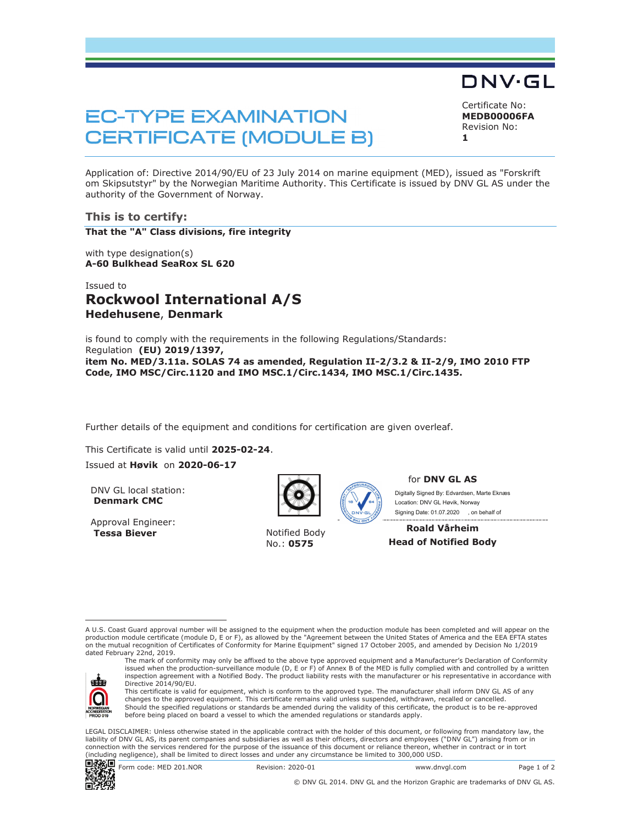# DNV·GL

# **EC-TYPE EXAMINATION CERTIFICATE (MODULE B)**

Certificate No: **MEDB00006FA** Revision No: **1** 

Application of: Directive 2014/90/EU of 23 July 2014 on marine equipment (MED), issued as "Forskrift om Skipsutstyr" by the Norwegian Maritime Authority. This Certificate is issued by DNV GL AS under the authority of the Government of Norway.

#### **This is to certify:**

**That the "A" Class divisions, fire integrity**

with type designation(s) **A-60 Bulkhead SeaRox SL 620**

## Issued to **Rockwool International A/S Hedehusene**, **Denmark**

is found to comply with the requirements in the following Regulations/Standards: Regulation **(EU) 2019/1397, item No. MED/3.11a. SOLAS 74 as amended, Regulation II-2/3.2 & II-2/9, IMO 2010 FTP Code, IMO MSC/Circ.1120 and IMO MSC.1/Circ.1434, IMO MSC.1/Circ.1435.** 

Further details of the equipment and conditions for certification are given overleaf.

This Certificate is valid until **2025-02-24**. Issued at **Høvik** on **2020-06-17**

DNV GL local station: **Denmark CMC**

Approval Engineer: **Tessa Biever** Notified Body



No.: **0575**



for **DNV GL AS**

 Signing Date: 01.07.2020 , on behalf ofDigitally Signed By: Edvardsen, Marte Eknæs Location: DNV GL Høvik, Norway

**Roald Vårheim Head of Notified Body** 

A U.S. Coast Guard approval number will be assigned to the equipment when the production module has been completed and will appear on the production module certificate (module D, E or F), as allowed by the "Agreement between the United States of America and the EEA EFTA states on the mutual recognition of Certificates of Conformity for Marine Equipment" signed 17 October 2005, and amended by Decision No 1/2019 dated February 22nd, 2019.



The mark of conformity may only be affixed to the above type approved equipment and a Manufacturer's Declaration of Conformity issued when the production-surveillance module (D, E or F) of Annex B of the MED is fully complied with and controlled by a written inspection agreement with a Notified Body. The product liability rests with the manufacturer or his representative in accordance with Directive 2014/90/EU.

This certificate is valid for equipment, which is conform to the approved type. The manufacturer shall inform DNV GL AS of any<br>changes to the approved equipment. This certificate remains valid unless suspended, withdrawn, Should the specified regulations or standards be amended during the validity of this certificate, the product is to be re-approved before being placed on board a vessel to which the amended regulations or standards apply.

 LEGAL DISCLAIMER: Unless otherwise stated in the applicable contract with the holder of this document, or following from mandatory law, the liability of DNV GL AS, its parent companies and subsidiaries as well as their officers, directors and employees ("DNV GL") arising from or in connection with the services rendered for the purpose of the issuance of this document or reliance thereon, whether in contract or in tort (including negligence), shall be limited to direct losses and under any circumstance be limited to 300,000 USD.



Form code: MED 201.NOR Revision: 2020-01 www.dnvgl.com Page 1 of 2

© DNV GL 2014. DNV GL and the Horizon Graphic are trademarks of DNV GL AS.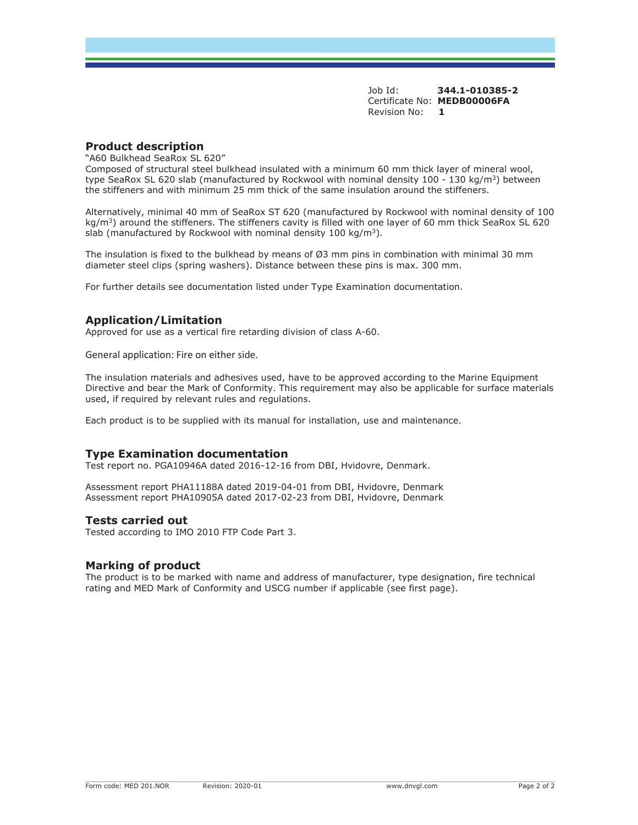Job Id: **344.1-010385-2**  Certificate No: **MEDB00006FA** Revision No: **1** 

#### **Product description**

"A60 Bulkhead SeaRox SL 620"

Composed of structural steel bulkhead insulated with a minimum 60 mm thick layer of mineral wool, type SeaRox SL 620 slab (manufactured by Rockwool with nominal density 100 - 130 kg/m<sup>3</sup>) between the stiffeners and with minimum 25 mm thick of the same insulation around the stiffeners.

Alternatively, minimal 40 mm of SeaRox ST 620 (manufactured by Rockwool with nominal density of 100 kg/m<sup>3</sup>) around the stiffeners. The stiffeners cavity is filled with one layer of 60 mm thick SeaRox SL 620 slab (manufactured by Rockwool with nominal density  $100 \text{ kg/m}^3$ ).

The insulation is fixed to the bulkhead by means of  $\varnothing$ 3 mm pins in combination with minimal 30 mm diameter steel clips (spring washers). Distance between these pins is max. 300 mm.

For further details see documentation listed under Type Examination documentation.

### **Application/Limitation**

Approved for use as a vertical fire retarding division of class A-60.

General application: Fire on either side.

The insulation materials and adhesives used, have to be approved according to the Marine Equipment Directive and bear the Mark of Conformity. This requirement may also be applicable for surface materials used, if required by relevant rules and regulations.

Each product is to be supplied with its manual for installation, use and maintenance.

#### **Type Examination documentation**

Test report no. PGA10946A dated 2016-12-16 from DBI, Hvidovre, Denmark.

Assessment report PHA11188A dated 2019-04-01 from DBI, Hvidovre, Denmark Assessment report PHA10905A dated 2017-02-23 from DBI, Hvidovre, Denmark

#### **Tests carried out**

Tested according to IMO 2010 FTP Code Part 3.

#### **Marking of product**

The product is to be marked with name and address of manufacturer, type designation, fire technical rating and MED Mark of Conformity and USCG number if applicable (see first page).